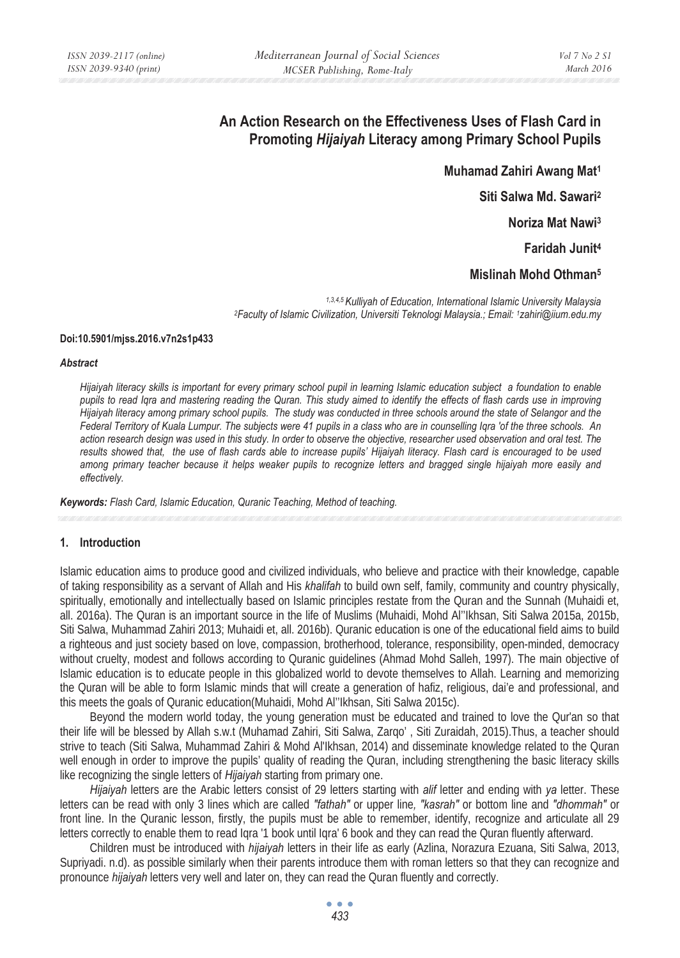# **An Action Research on the Effectiveness Uses of Flash Card in Promoting** *Hijaiyah* **Literacy among Primary School Pupils**

**Muhamad Zahiri Awang Mat1**

**Siti Salwa Md. Sawari2**

**Noriza Mat Nawi3**

**Faridah Junit4**

**Mislinah Mohd Othman5** 

*1,3,4,5 Kulliyah of Education, International Islamic University Malaysia 2Faculty of Islamic Civilization, Universiti Teknologi Malaysia.; Email: 1zahiri@iium.edu.my* 

#### **Doi:10.5901/mjss.2016.v7n2s1p433**

#### *Abstract*

*Hijaiyah literacy skills is important for every primary school pupil in learning Islamic education subject a foundation to enable pupils to read Iqra and mastering reading the Quran. This study aimed to identify the effects of flash cards use in improving Hijaiyah literacy among primary school pupils. The study was conducted in three schools around the state of Selangor and the Federal Territory of Kuala Lumpur. The subjects were 41 pupils in a class who are in counselling Iqra 'of the three schools. An action research design was used in this study. In order to observe the objective, researcher used observation and oral test. The results showed that, the use of flash cards able to increase pupils' Hijaiyah literacy. Flash card is encouraged to be used among primary teacher because it helps weaker pupils to recognize letters and bragged single hijaiyah more easily and effectively.* 

*Keywords: Flash Card, Islamic Education, Quranic Teaching, Method of teaching.* 

### **1. Introduction**

Islamic education aims to produce good and civilized individuals, who believe and practice with their knowledge, capable of taking responsibility as a servant of Allah and His *khalifah* to build own self, family, community and country physically, spiritually, emotionally and intellectually based on Islamic principles restate from the Quran and the Sunnah (Muhaidi et, all. 2016a). The Quran is an important source in the life of Muslims (Muhaidi, Mohd Al''Ikhsan, Siti Salwa 2015a, 2015b, Siti Salwa, Muhammad Zahiri 2013; Muhaidi et, all. 2016b). Quranic education is one of the educational field aims to build a righteous and just society based on love, compassion, brotherhood, tolerance, responsibility, open-minded, democracy without cruelty, modest and follows according to Quranic guidelines (Ahmad Mohd Salleh, 1997). The main objective of Islamic education is to educate people in this globalized world to devote themselves to Allah. Learning and memorizing the Quran will be able to form Islamic minds that will create a generation of hafiz, religious, dai'e and professional, and this meets the goals of Quranic education(Muhaidi, Mohd Al''Ikhsan, Siti Salwa 2015c).

Beyond the modern world today, the young generation must be educated and trained to love the Qur'an so that their life will be blessed by Allah s.w.t (Muhamad Zahiri, Siti Salwa, Zarqo' , Siti Zuraidah, 2015).Thus, a teacher should strive to teach (Siti Salwa, Muhammad Zahiri & Mohd Al'Ikhsan, 2014) and disseminate knowledge related to the Quran well enough in order to improve the pupils' quality of reading the Quran, including strengthening the basic literacy skills like recognizing the single letters of *Hijaiyah* starting from primary one.

*Hijaiyah* letters are the Arabic letters consist of 29 letters starting with *alif* letter and ending with *ya* letter. These letters can be read with only 3 lines which are called *"fathah"* or upper line*, "kasrah"* or bottom line and *"dhommah"* or front line. In the Quranic lesson, firstly, the pupils must be able to remember, identify, recognize and articulate all 29 letters correctly to enable them to read Iqra '1 book until Iqra' 6 book and they can read the Quran fluently afterward.

Children must be introduced with *hijaiyah* letters in their life as early (Azlina, Norazura Ezuana, Siti Salwa, 2013, Supriyadi. n.d). as possible similarly when their parents introduce them with roman letters so that they can recognize and pronounce *hijaiyah* letters very well and later on, they can read the Quran fluently and correctly.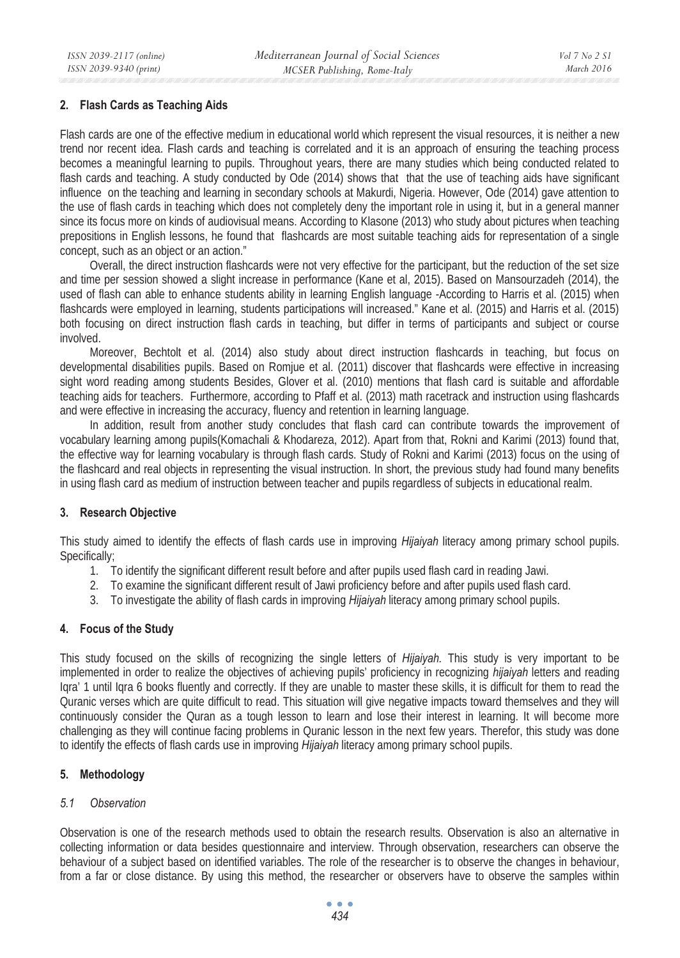### **2. Flash Cards as Teaching Aids**

Flash cards are one of the effective medium in educational world which represent the visual resources, it is neither a new trend nor recent idea. Flash cards and teaching is correlated and it is an approach of ensuring the teaching process becomes a meaningful learning to pupils. Throughout years, there are many studies which being conducted related to flash cards and teaching. A study conducted by Ode (2014) shows that that the use of teaching aids have significant influence on the teaching and learning in secondary schools at Makurdi, Nigeria. However, Ode (2014) gave attention to the use of flash cards in teaching which does not completely deny the important role in using it, but in a general manner since its focus more on kinds of audiovisual means. According to Klasone (2013) who study about pictures when teaching prepositions in English lessons, he found that flashcards are most suitable teaching aids for representation of a single concept, such as an object or an action."

Overall, the direct instruction flashcards were not very effective for the participant, but the reduction of the set size and time per session showed a slight increase in performance (Kane et al, 2015). Based on Mansourzadeh (2014), the used of flash can able to enhance students ability in learning English language -According to Harris et al. (2015) when flashcards were employed in learning, students participations will increased." Kane et al. (2015) and Harris et al. (2015) both focusing on direct instruction flash cards in teaching, but differ in terms of participants and subject or course involved.

Moreover, Bechtolt et al. (2014) also study about direct instruction flashcards in teaching, but focus on developmental disabilities pupils. Based on Romjue et al. (2011) discover that flashcards were effective in increasing sight word reading among students Besides, Glover et al. (2010) mentions that flash card is suitable and affordable teaching aids for teachers. Furthermore, according to Pfaff et al. (2013) math racetrack and instruction using flashcards and were effective in increasing the accuracy, fluency and retention in learning language.

In addition, result from another study concludes that flash card can contribute towards the improvement of vocabulary learning among pupils(Komachali & Khodareza, 2012). Apart from that, Rokni and Karimi (2013) found that, the effective way for learning vocabulary is through flash cards. Study of Rokni and Karimi (2013) focus on the using of the flashcard and real objects in representing the visual instruction. In short, the previous study had found many benefits in using flash card as medium of instruction between teacher and pupils regardless of subjects in educational realm.

### **3. Research Objective**

This study aimed to identify the effects of flash cards use in improving *Hijaiyah* literacy among primary school pupils. Specifically;

- 1. To identify the significant different result before and after pupils used flash card in reading Jawi.
- 2. To examine the significant different result of Jawi proficiency before and after pupils used flash card.
- 3. To investigate the ability of flash cards in improving *Hijaiyah* literacy among primary school pupils.

### **4. Focus of the Study**

This study focused on the skills of recognizing the single letters of *Hijaiyah.* This study is very important to be implemented in order to realize the objectives of achieving pupils' proficiency in recognizing *hijaiyah* letters and reading Iqra' 1 until Iqra 6 books fluently and correctly. If they are unable to master these skills, it is difficult for them to read the Quranic verses which are quite difficult to read. This situation will give negative impacts toward themselves and they will continuously consider the Quran as a tough lesson to learn and lose their interest in learning. It will become more challenging as they will continue facing problems in Quranic lesson in the next few years. Therefor, this study was done to identify the effects of flash cards use in improving *Hijaiyah* literacy among primary school pupils.

# **5. Methodology**

### *5.1 Observation*

Observation is one of the research methods used to obtain the research results. Observation is also an alternative in collecting information or data besides questionnaire and interview. Through observation, researchers can observe the behaviour of a subject based on identified variables. The role of the researcher is to observe the changes in behaviour, from a far or close distance. By using this method, the researcher or observers have to observe the samples within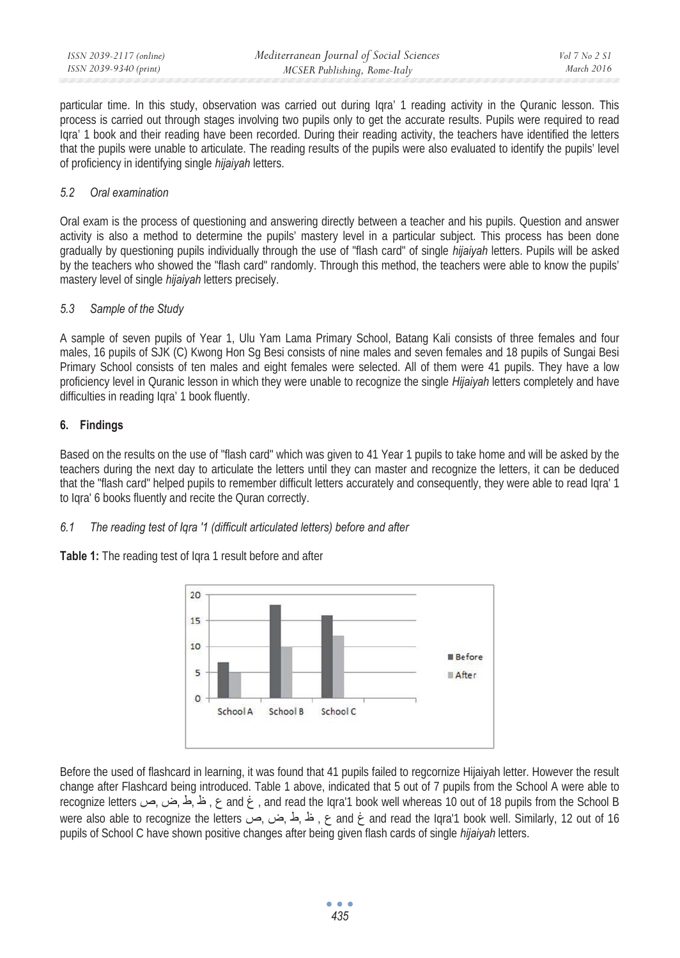particular time. In this study, observation was carried out during Iqra' 1 reading activity in the Quranic lesson. This process is carried out through stages involving two pupils only to get the accurate results. Pupils were required to read Iqra' 1 book and their reading have been recorded. During their reading activity, the teachers have identified the letters that the pupils were unable to articulate. The reading results of the pupils were also evaluated to identify the pupils' level of proficiency in identifying single *hijaiyah* letters.

### *5.2 Oral examination*

Oral exam is the process of questioning and answering directly between a teacher and his pupils. Question and answer activity is also a method to determine the pupils' mastery level in a particular subject. This process has been done gradually by questioning pupils individually through the use of "flash card" of single *hijaiyah* letters. Pupils will be asked by the teachers who showed the "flash card" randomly. Through this method, the teachers were able to know the pupils' mastery level of single *hijaiyah* letters precisely.

### *5.3 Sample of the Study*

A sample of seven pupils of Year 1, Ulu Yam Lama Primary School, Batang Kali consists of three females and four males, 16 pupils of SJK (C) Kwong Hon Sq Besi consists of nine males and seven females and 18 pupils of Sungai Besi Primary School consists of ten males and eight females were selected. All of them were 41 pupils. They have a low proficiency level in Quranic lesson in which they were unable to recognize the single *Hijaiyah* letters completely and have difficulties in reading Iqra' 1 book fluently.

# **6. Findings**

Based on the results on the use of "flash card" which was given to 41 Year 1 pupils to take home and will be asked by the teachers during the next day to articulate the letters until they can master and recognize the letters, it can be deduced that the "flash card" helped pupils to remember difficult letters accurately and consequently, they were able to read Iqra' 1 to Iqra' 6 books fluently and recite the Quran correctly.

### *6.1 The reading test of Iqra '1 (difficult articulated letters) before and after*

**Table 1:** The reading test of Iqra 1 result before and after



Before the used of flashcard in learning, it was found that 41 pupils failed to regcornize Hijaiyah letter. However the result change after Flashcard being introduced. Table 1 above, indicated that 5 out of 7 pupils from the School A were able to recognize letters ہے , نے اگریض صد recognize letters کا مظہ اس میں recognize letters کا recognize letters کی were also able to recognize the letters ابر بن من الله and read the Igra'1 book well. Similarly, 12 out of 16 pupils of School C have shown positive changes after being given flash cards of single *hijaiyah* letters.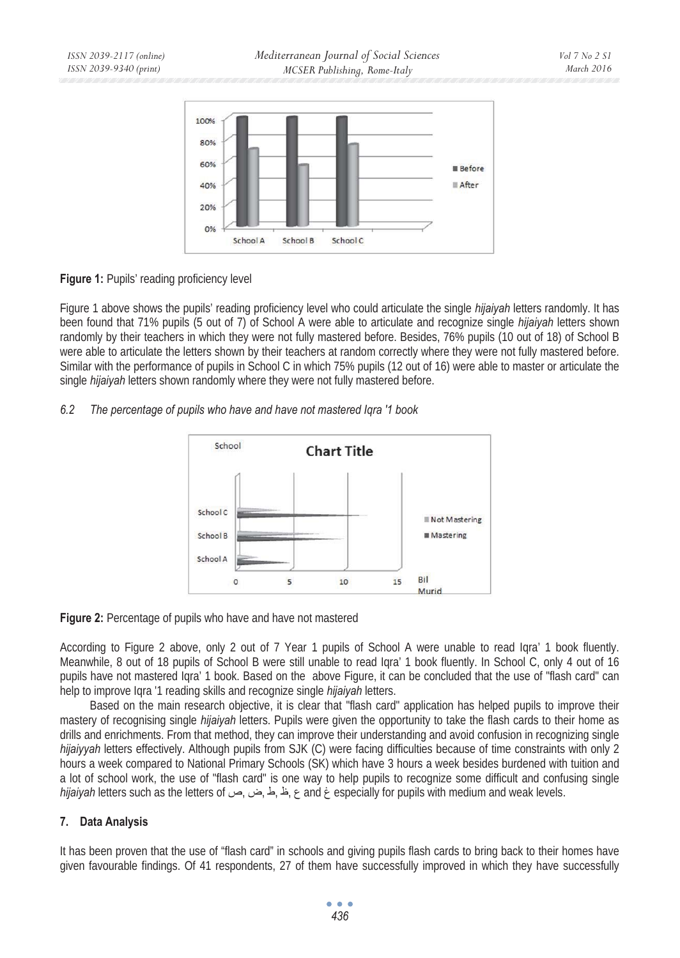

### **Figure 1:** Pupils' reading proficiency level

Figure 1 above shows the pupils' reading proficiency level who could articulate the single *hijaiyah* letters randomly. It has been found that 71% pupils (5 out of 7) of School A were able to articulate and recognize single *hijaiyah* letters shown randomly by their teachers in which they were not fully mastered before. Besides, 76% pupils (10 out of 18) of School B were able to articulate the letters shown by their teachers at random correctly where they were not fully mastered before. Similar with the performance of pupils in School C in which 75% pupils (12 out of 16) were able to master or articulate the single *hijaiyah* letters shown randomly where they were not fully mastered before.

# *6.2 The percentage of pupils who have and have not mastered Iqra '1 book*





According to Figure 2 above, only 2 out of 7 Year 1 pupils of School A were unable to read Iqra' 1 book fluently. Meanwhile, 8 out of 18 pupils of School B were still unable to read Iqra' 1 book fluently. In School C, only 4 out of 16 pupils have not mastered Iqra' 1 book. Based on the above Figure, it can be concluded that the use of "flash card" can help to improve Iqra '1 reading skills and recognize single *hijaiyah* letters.

Based on the main research objective, it is clear that "flash card" application has helped pupils to improve their mastery of recognising single *hijaiyah* letters. Pupils were given the opportunity to take the flash cards to their home as drills and enrichments. From that method, they can improve their understanding and avoid confusion in recognizing single *hijaiyyah* letters effectively. Although pupils from SJK (C) were facing difficulties because of time constraints with only 2 hours a week compared to National Primary Schools (SK) which have 3 hours a week besides burdened with tuition and a lot of school work, the use of "flash card" is one way to help pupils to recognize some difficult and confusing single *hijaiyah* letters such as the letters of sepecially for pupils with medium and weak levels.

# **7. Data Analysis**

It has been proven that the use of "flash card" in schools and giving pupils flash cards to bring back to their homes have given favourable findings. Of 41 respondents, 27 of them have successfully improved in which they have successfully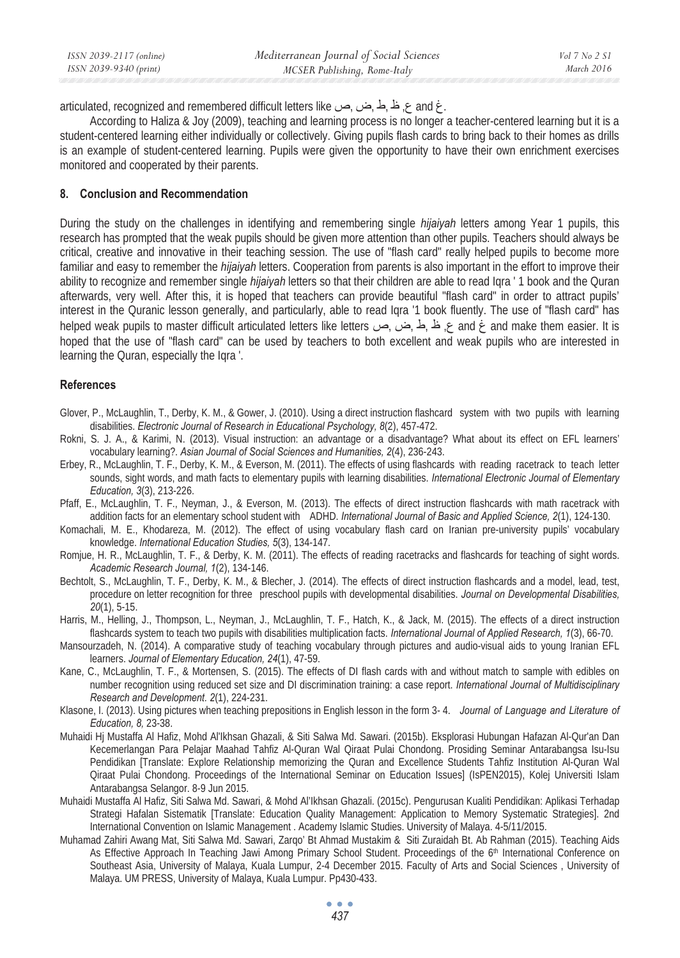| ISSN 2039-2117 (online) | Mediterranean Journal of Social Sciences | Vol 7 No 2 S1     |
|-------------------------|------------------------------------------|-------------------|
| ISSN 2039-9340 (print)  | MCSER Publishing, Rome-Italy             | <i>March 2016</i> |

articulated, recognized and remembered difficult letters like ع, ظ,ط,ض, ص, and

According to Haliza & Joy (2009), teaching and learning process is no longer a teacher-centered learning but it is a student-centered learning either individually or collectively. Giving pupils flash cards to bring back to their homes as drills is an example of student-centered learning. Pupils were given the opportunity to have their own enrichment exercises monitored and cooperated by their parents.

#### **8. Conclusion and Recommendation**

During the study on the challenges in identifying and remembering single *hijaiyah* letters among Year 1 pupils, this research has prompted that the weak pupils should be given more attention than other pupils. Teachers should always be critical, creative and innovative in their teaching session. The use of "flash card" really helped pupils to become more familiar and easy to remember the *hijaiyah* letters. Cooperation from parents is also important in the effort to improve their ability to recognize and remember single *hijaiyah* letters so that their children are able to read Iqra ' 1 book and the Quran afterwards, very well. After this, it is hoped that teachers can provide beautiful "flash card" in order to attract pupils' interest in the Quranic lesson generally, and particularly, able to read Iqra '1 book fluently. The use of "flash card" has helped weak pupils to master difficult articulated letters like letters الخ الم المن المصر من helped weak pupils to master difficult articulated letters like letters مشر المصر المصر hoped that the use of "flash card" can be used by teachers to both excellent and weak pupils who are interested in learning the Quran, especially the Iqra '.

#### **References**

- Glover, P., McLaughlin, T., Derby, K. M., & Gower, J. (2010). Using a direct instruction flashcard system with two pupils with learning disabilities. *Electronic Journal of Research in Educational Psychology, 8*(2), 457-472.
- Rokni, S. J. A., & Karimi, N. (2013). Visual instruction: an advantage or a disadvantage? What about its effect on EFL learners' vocabulary learning?. *Asian Journal of Social Sciences and Humanities, 2*(4), 236-243.
- Erbey, R., McLaughlin, T. F., Derby, K. M., & Everson, M. (2011). The effects of using flashcards with reading racetrack to teach letter sounds, sight words, and math facts to elementary pupils with learning disabilities. *International Electronic Journal of Elementary Education, 3*(3), 213-226.
- Pfaff, E., McLaughlin, T. F., Neyman, J., & Everson, M. (2013). The effects of direct instruction flashcards with math racetrack with addition facts for an elementary school student with ADHD. *International Journal of Basic and Applied Science, 2*(1), 124-130.
- Komachali, M. E., Khodareza, M. (2012). The effect of using vocabulary flash card on Iranian pre-university pupils' vocabulary knowledge. *International Education Studies, 5*(3), 134-147.
- Romjue, H. R., McLaughlin, T. F., & Derby, K. M. (2011). The effects of reading racetracks and flashcards for teaching of sight words. *Academic Research Journal, 1*(2), 134-146.
- Bechtolt, S., McLaughlin, T. F., Derby, K. M., & Blecher, J. (2014). The effects of direct instruction flashcards and a model, lead, test, procedure on letter recognition for three preschool pupils with developmental disabilities. *Journal on Developmental Disabilities, 20*(1), 5-15.
- Harris, M., Helling, J., Thompson, L., Neyman, J., McLaughlin, T. F., Hatch, K., & Jack, M. (2015). The effects of a direct instruction flashcards system to teach two pupils with disabilities multiplication facts. *International Journal of Applied Research, 1*(3), 66-70.
- Mansourzadeh, N. (2014). A comparative study of teaching vocabulary through pictures and audio-visual aids to young Iranian EFL learners. *Journal of Elementary Education, 24*(1), 47-59.
- Kane, C., McLaughlin, T. F., & Mortensen, S. (2015). The effects of DI flash cards with and without match to sample with edibles on number recognition using reduced set size and DI discrimination training: a case report. *International Journal of Multidisciplinary Research and Development. 2*(1), 224-231.
- Klasone, I. (2013). Using pictures when teaching prepositions in English lesson in the form 3- 4. *Journal of Language and Literature of Education, 8,* 23-38.
- Muhaidi Hj Mustaffa Al Hafiz, Mohd Al'Ikhsan Ghazali, & Siti Salwa Md. Sawari. (2015b). Eksplorasi Hubungan Hafazan Al-Qur'an Dan Kecemerlangan Para Pelajar Maahad Tahfiz Al-Quran Wal Qiraat Pulai Chondong. Prosiding Seminar Antarabangsa Isu-Isu Pendidikan [Translate: Explore Relationship memorizing the Quran and Excellence Students Tahfiz Institution Al-Quran Wal Qiraat Pulai Chondong. Proceedings of the International Seminar on Education Issues] (IsPEN2015), Kolej Universiti Islam Antarabangsa Selangor. 8-9 Jun 2015.
- Muhaidi Mustaffa Al Hafiz, Siti Salwa Md. Sawari, & Mohd Al'Ikhsan Ghazali. (2015c). Pengurusan Kualiti Pendidikan: Aplikasi Terhadap Strategi Hafalan Sistematik [Translate: Education Quality Management: Application to Memory Systematic Strategies]. 2nd International Convention on Islamic Management . Academy Islamic Studies. University of Malaya. 4-5/11/2015.
- Muhamad Zahiri Awang Mat, Siti Salwa Md. Sawari, Zarqo' Bt Ahmad Mustakim & Siti Zuraidah Bt. Ab Rahman (2015). Teaching Aids As Effective Approach In Teaching Jawi Among Primary School Student. Proceedings of the 6<sup>th</sup> International Conference on Southeast Asia, University of Malaya, Kuala Lumpur, 2-4 December 2015. Faculty of Arts and Social Sciences , University of Malaya. UM PRESS, University of Malaya, Kuala Lumpur. Pp430-433.